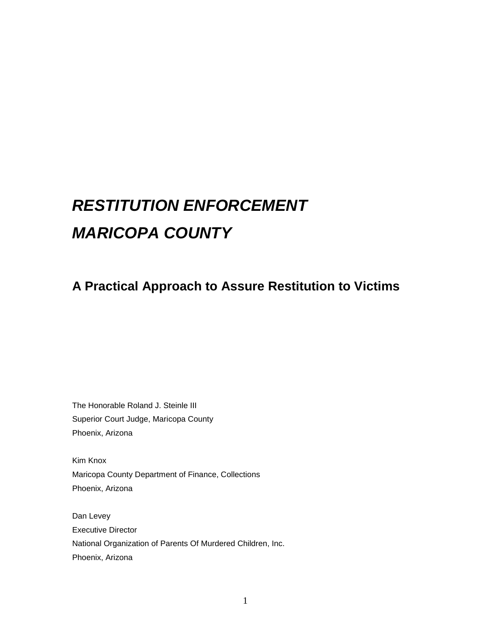# *RESTITUTION ENFORCEMENT MARICOPA COUNTY*

## **A Practical Approach to Assure Restitution to Victims**

The Honorable Roland J. Steinle III Superior Court Judge, Maricopa County Phoenix, Arizona

Kim Knox Maricopa County Department of Finance, Collections Phoenix, Arizona

Dan Levey Executive Director National Organization of Parents Of Murdered Children, Inc. Phoenix, Arizona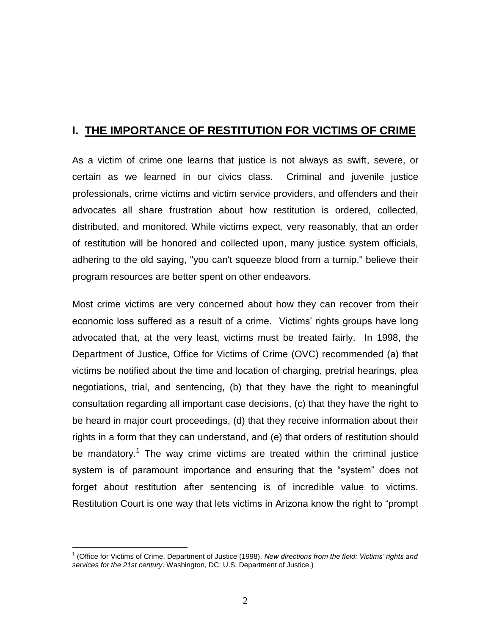## **I. THE IMPORTANCE OF RESTITUTION FOR VICTIMS OF CRIME**

As a victim of crime one learns that justice is not always as swift, severe, or certain as we learned in our civics class. Criminal and juvenile justice professionals, crime victims and victim service providers, and offenders and their advocates all share frustration about how restitution is ordered, collected, distributed, and monitored. While victims expect, very reasonably, that an order of restitution will be honored and collected upon, many justice system officials, adhering to the old saying, "you can't squeeze blood from a turnip," believe their program resources are better spent on other endeavors.

Most crime victims are very concerned about how they can recover from their economic loss suffered as a result of a crime. Victims' rights groups have long advocated that, at the very least, victims must be treated fairly. In 1998, the Department of Justice, Office for Victims of Crime (OVC) recommended (a) that victims be notified about the time and location of charging, pretrial hearings, plea negotiations, trial, and sentencing, (b) that they have the right to meaningful consultation regarding all important case decisions, (c) that they have the right to be heard in major court proceedings, (d) that they receive information about their rights in a form that they can understand, and (e) that orders of restitution should be mandatory.<sup>1</sup> The way crime victims are treated within the criminal justice system is of paramount importance and ensuring that the "system" does not forget about restitution after sentencing is of incredible value to victims. Restitution Court is one way that lets victims in Arizona know the right to "prompt

 $\overline{a}$ 

<sup>1</sup> (Office for Victims of Crime, Department of Justice (1998). *New directions from the field: Victims' rights and services for the 21st century*. Washington, DC: U.S. Department of Justice.)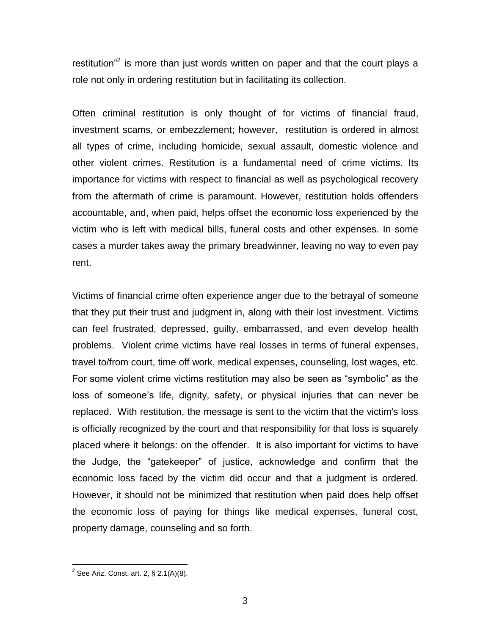restitution"<sup>2</sup> is more than just words written on paper and that the court plays a role not only in ordering restitution but in facilitating its collection.

Often criminal restitution is only thought of for victims of financial fraud, investment scams, or embezzlement; however, restitution is ordered in almost all types of crime, including homicide, sexual assault, domestic violence and other violent crimes. Restitution is a fundamental need of crime victims. Its importance for victims with respect to financial as well as psychological recovery from the aftermath of crime is paramount. However, restitution holds offenders accountable, and, when paid, helps offset the economic loss experienced by the victim who is left with medical bills, funeral costs and other expenses. In some cases a murder takes away the primary breadwinner, leaving no way to even pay rent.

Victims of financial crime often experience anger due to the betrayal of someone that they put their trust and judgment in, along with their lost investment. Victims can feel frustrated, depressed, guilty, embarrassed, and even develop health problems. Violent crime victims have real losses in terms of funeral expenses, travel to/from court, time off work, medical expenses, counseling, lost wages, etc. For some violent crime victims restitution may also be seen as "symbolic" as the loss of someone's life, dignity, safety, or physical injuries that can never be replaced. With restitution, the message is sent to the victim that the victim's loss is officially recognized by the court and that responsibility for that loss is squarely placed where it belongs: on the offender. It is also important for victims to have the Judge, the "gatekeeper" of justice, acknowledge and confirm that the economic loss faced by the victim did occur and that a judgment is ordered. However, it should not be minimized that restitution when paid does help offset the economic loss of paying for things like medical expenses, funeral cost, property damage, counseling and so forth.

 $\overline{a}$ 

 $2$  See Ariz. Const. art. 2, § 2.1(A)(8).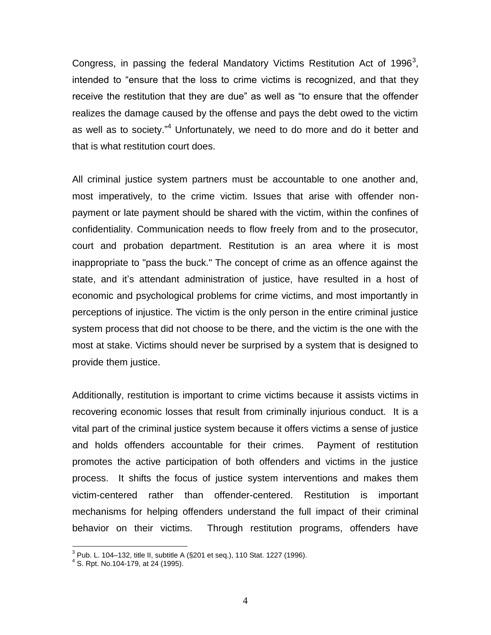Congress, in passing the federal Mandatory Victims Restitution Act of 1996<sup>3</sup>, intended to "ensure that the loss to crime victims is recognized, and that they receive the restitution that they are due" as well as "to ensure that the offender realizes the damage caused by the offense and pays the debt owed to the victim as well as to society."<sup>4</sup> Unfortunately, we need to do more and do it better and that is what restitution court does.

All criminal justice system partners must be accountable to one another and, most imperatively, to the crime victim. Issues that arise with offender nonpayment or late payment should be shared with the victim, within the confines of confidentiality. Communication needs to flow freely from and to the prosecutor, court and probation department. Restitution is an area where it is most inappropriate to "pass the buck." The concept of crime as an offence against the state, and it's attendant administration of justice, have resulted in a host of economic and psychological problems for crime victims, and most importantly in perceptions of injustice. The victim is the only person in the entire criminal justice system process that did not choose to be there, and the victim is the one with the most at stake. Victims should never be surprised by a system that is designed to provide them justice.

Additionally, restitution is important to crime victims because it assists victims in recovering economic losses that result from criminally injurious conduct. It is a vital part of the criminal justice system because it offers victims a sense of justice and holds offenders accountable for their crimes. Payment of restitution promotes the active participation of both offenders and victims in the justice process. It shifts the focus of justice system interventions and makes them victim-centered rather than offender-centered. Restitution is important mechanisms for helping offenders understand the full impact of their criminal behavior on their victims. Through restitution programs, offenders have

 3 Pub. L. 104–132, title II, subtitle A (§201 et seq.), 110 Stat. 1227 (1996). 4 S. Rpt. No.104-179, at 24 (1995).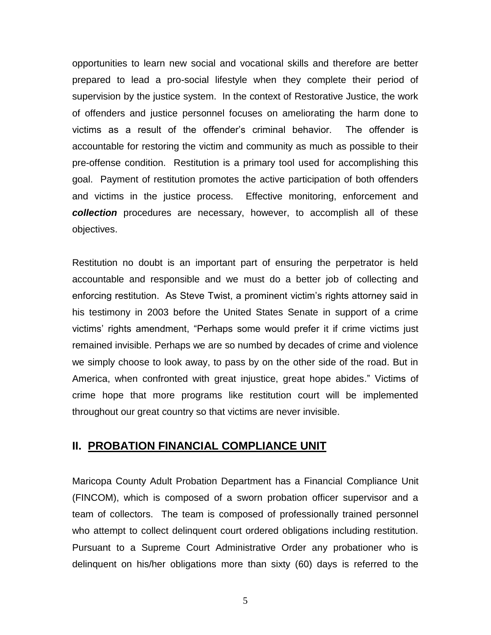opportunities to learn new social and vocational skills and therefore are better prepared to lead a pro-social lifestyle when they complete their period of supervision by the justice system. In the context of Restorative Justice, the work of offenders and justice personnel focuses on ameliorating the harm done to victims as a result of the offender's criminal behavior. The offender is accountable for restoring the victim and community as much as possible to their pre-offense condition. Restitution is a primary tool used for accomplishing this goal. Payment of restitution promotes the active participation of both offenders and victims in the justice process. Effective monitoring, enforcement and *collection* procedures are necessary, however, to accomplish all of these objectives.

Restitution no doubt is an important part of ensuring the perpetrator is held accountable and responsible and we must do a better job of collecting and enforcing restitution. As Steve Twist, a prominent victim's rights attorney said in his testimony in 2003 before the United States Senate in support of a crime victims' rights amendment, "Perhaps some would prefer it if crime victims just remained invisible. Perhaps we are so numbed by decades of crime and violence we simply choose to look away, to pass by on the other side of the road. But in America, when confronted with great injustice, great hope abides." Victims of crime hope that more programs like restitution court will be implemented throughout our great country so that victims are never invisible.

## **II. PROBATION FINANCIAL COMPLIANCE UNIT**

Maricopa County Adult Probation Department has a Financial Compliance Unit (FINCOM), which is composed of a sworn probation officer supervisor and a team of collectors. The team is composed of professionally trained personnel who attempt to collect delinquent court ordered obligations including restitution. Pursuant to a Supreme Court Administrative Order any probationer who is delinquent on his/her obligations more than sixty (60) days is referred to the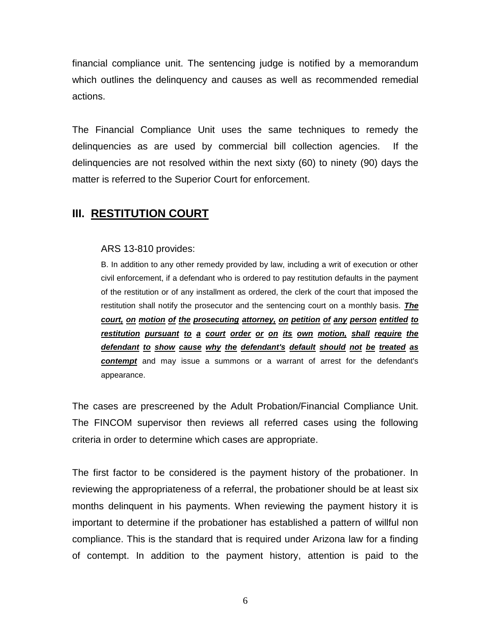financial compliance unit. The sentencing judge is notified by a memorandum which outlines the delinquency and causes as well as recommended remedial actions.

The Financial Compliance Unit uses the same techniques to remedy the delinquencies as are used by commercial bill collection agencies. If the delinquencies are not resolved within the next sixty (60) to ninety (90) days the matter is referred to the Superior Court for enforcement.

## **III. RESTITUTION COURT**

#### ARS 13-810 provides:

B. In addition to any other remedy provided by law, including a writ of execution or other civil enforcement, if a defendant who is ordered to pay restitution defaults in the payment of the restitution or of any installment as ordered, the clerk of the court that imposed the restitution shall notify the prosecutor and the sentencing court on a monthly basis. *The court, on motion of the prosecuting attorney, on petition of any person entitled to restitution pursuant to a court order or on its own motion, shall require the defendant to show cause why the defendant's default should not be treated as contempt* and may issue a summons or a warrant of arrest for the defendant's appearance.

The cases are prescreened by the Adult Probation/Financial Compliance Unit. The FINCOM supervisor then reviews all referred cases using the following criteria in order to determine which cases are appropriate.

The first factor to be considered is the payment history of the probationer. In reviewing the appropriateness of a referral, the probationer should be at least six months delinquent in his payments. When reviewing the payment history it is important to determine if the probationer has established a pattern of willful non compliance. This is the standard that is required under Arizona law for a finding of contempt. In addition to the payment history, attention is paid to the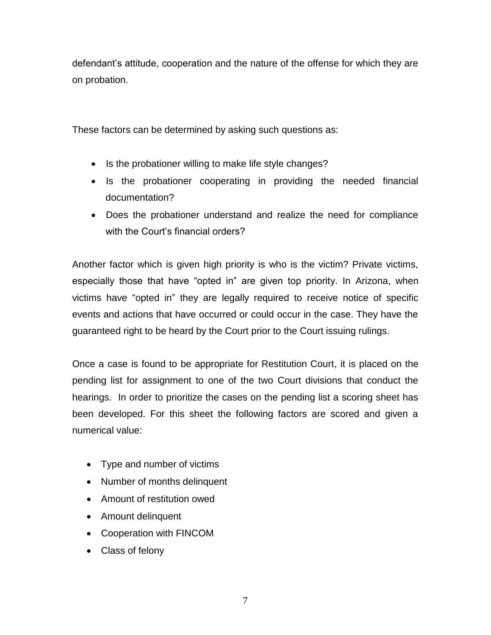defendant's attitude, cooperation and the nature of the offense for which they are on probation.

These factors can be determined by asking such questions as:

- Is the probationer willing to make life style changes?
- Is the probationer cooperating in providing the needed financial documentation?
- Does the probationer understand and realize the need for compliance with the Court's financial orders?

Another factor which is given high priority is who is the victim? Private victims, especially those that have "opted in" are given top priority. In Arizona, when victims have "opted in" they are legally required to receive notice of specific events and actions that have occurred or could occur in the case. They have the guaranteed right to be heard by the Court prior to the Court issuing rulings.

Once a case is found to be appropriate for Restitution Court, it is placed on the pending list for assignment to one of the two Court divisions that conduct the hearings. In order to prioritize the cases on the pending list a scoring sheet has been developed. For this sheet the following factors are scored and given a numerical value:

- Type and number of victims
- Number of months delinquent
- Amount of restitution owed
- Amount delinquent
- Cooperation with FINCOM
- Class of felony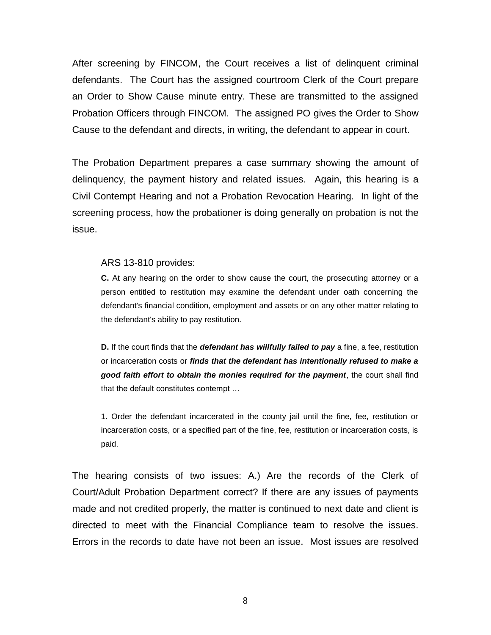After screening by FINCOM, the Court receives a list of delinquent criminal defendants. The Court has the assigned courtroom Clerk of the Court prepare an Order to Show Cause minute entry. These are transmitted to the assigned Probation Officers through FINCOM. The assigned PO gives the Order to Show Cause to the defendant and directs, in writing, the defendant to appear in court.

The Probation Department prepares a case summary showing the amount of delinquency, the payment history and related issues. Again, this hearing is a Civil Contempt Hearing and not a Probation Revocation Hearing. In light of the screening process, how the probationer is doing generally on probation is not the issue.

#### ARS 13-810 provides:

**C.** At any hearing on the order to show cause the court, the prosecuting attorney or a person entitled to restitution may examine the defendant under oath concerning the defendant's financial condition, employment and assets or on any other matter relating to the defendant's ability to pay restitution.

**D.** If the court finds that the *defendant has willfully failed to pay* a fine, a fee, restitution or incarceration costs or *finds that the defendant has intentionally refused to make a good faith effort to obtain the monies required for the payment*, the court shall find that the default constitutes contempt …

1. Order the defendant incarcerated in the county jail until the fine, fee, restitution or incarceration costs, or a specified part of the fine, fee, restitution or incarceration costs, is paid.

The hearing consists of two issues: A.) Are the records of the Clerk of Court/Adult Probation Department correct? If there are any issues of payments made and not credited properly, the matter is continued to next date and client is directed to meet with the Financial Compliance team to resolve the issues. Errors in the records to date have not been an issue. Most issues are resolved

8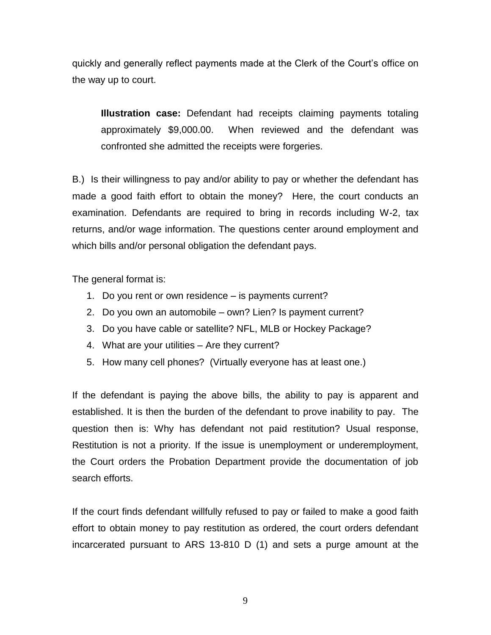quickly and generally reflect payments made at the Clerk of the Court's office on the way up to court.

**Illustration case:** Defendant had receipts claiming payments totaling approximately \$9,000.00. When reviewed and the defendant was confronted she admitted the receipts were forgeries.

B.) Is their willingness to pay and/or ability to pay or whether the defendant has made a good faith effort to obtain the money? Here, the court conducts an examination. Defendants are required to bring in records including W-2, tax returns, and/or wage information. The questions center around employment and which bills and/or personal obligation the defendant pays.

The general format is:

- 1. Do you rent or own residence is payments current?
- 2. Do you own an automobile own? Lien? Is payment current?
- 3. Do you have cable or satellite? NFL, MLB or Hockey Package?
- 4. What are your utilities Are they current?
- 5. How many cell phones? (Virtually everyone has at least one.)

If the defendant is paying the above bills, the ability to pay is apparent and established. It is then the burden of the defendant to prove inability to pay. The question then is: Why has defendant not paid restitution? Usual response, Restitution is not a priority. If the issue is unemployment or underemployment, the Court orders the Probation Department provide the documentation of job search efforts.

If the court finds defendant willfully refused to pay or failed to make a good faith effort to obtain money to pay restitution as ordered, the court orders defendant incarcerated pursuant to ARS 13-810 D (1) and sets a purge amount at the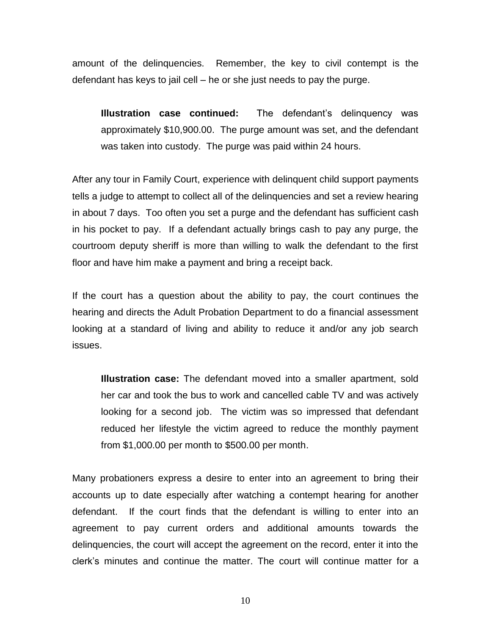amount of the delinquencies. Remember, the key to civil contempt is the defendant has keys to jail cell – he or she just needs to pay the purge.

**Illustration case continued:** The defendant's delinquency was approximately \$10,900.00. The purge amount was set, and the defendant was taken into custody. The purge was paid within 24 hours.

After any tour in Family Court, experience with delinquent child support payments tells a judge to attempt to collect all of the delinquencies and set a review hearing in about 7 days. Too often you set a purge and the defendant has sufficient cash in his pocket to pay. If a defendant actually brings cash to pay any purge, the courtroom deputy sheriff is more than willing to walk the defendant to the first floor and have him make a payment and bring a receipt back.

If the court has a question about the ability to pay, the court continues the hearing and directs the Adult Probation Department to do a financial assessment looking at a standard of living and ability to reduce it and/or any job search issues.

**Illustration case:** The defendant moved into a smaller apartment, sold her car and took the bus to work and cancelled cable TV and was actively looking for a second job. The victim was so impressed that defendant reduced her lifestyle the victim agreed to reduce the monthly payment from \$1,000.00 per month to \$500.00 per month.

Many probationers express a desire to enter into an agreement to bring their accounts up to date especially after watching a contempt hearing for another defendant. If the court finds that the defendant is willing to enter into an agreement to pay current orders and additional amounts towards the delinquencies, the court will accept the agreement on the record, enter it into the clerk's minutes and continue the matter. The court will continue matter for a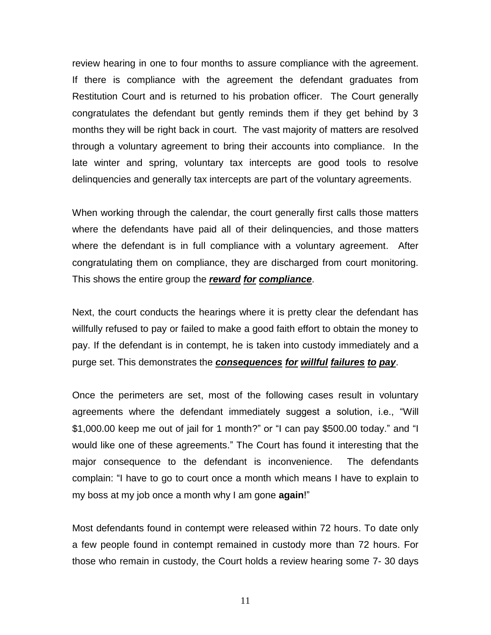review hearing in one to four months to assure compliance with the agreement. If there is compliance with the agreement the defendant graduates from Restitution Court and is returned to his probation officer. The Court generally congratulates the defendant but gently reminds them if they get behind by 3 months they will be right back in court. The vast majority of matters are resolved through a voluntary agreement to bring their accounts into compliance. In the late winter and spring, voluntary tax intercepts are good tools to resolve delinquencies and generally tax intercepts are part of the voluntary agreements.

When working through the calendar, the court generally first calls those matters where the defendants have paid all of their delinquencies, and those matters where the defendant is in full compliance with a voluntary agreement. After congratulating them on compliance, they are discharged from court monitoring. This shows the entire group the *reward for compliance*.

Next, the court conducts the hearings where it is pretty clear the defendant has willfully refused to pay or failed to make a good faith effort to obtain the money to pay. If the defendant is in contempt, he is taken into custody immediately and a purge set. This demonstrates the *consequences for willful failures to pay*.

Once the perimeters are set, most of the following cases result in voluntary agreements where the defendant immediately suggest a solution, i.e., "Will \$1,000.00 keep me out of jail for 1 month?" or "I can pay \$500.00 today." and "I would like one of these agreements." The Court has found it interesting that the major consequence to the defendant is inconvenience. The defendants complain: "I have to go to court once a month which means I have to explain to my boss at my job once a month why I am gone **again**!"

Most defendants found in contempt were released within 72 hours. To date only a few people found in contempt remained in custody more than 72 hours. For those who remain in custody, the Court holds a review hearing some 7- 30 days

11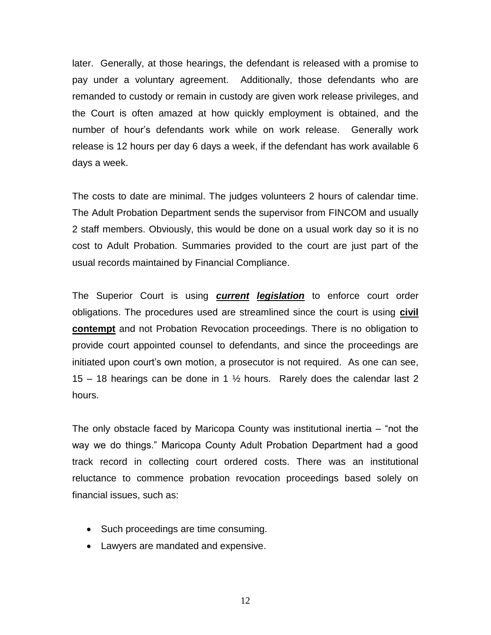later. Generally, at those hearings, the defendant is released with a promise to pay under a voluntary agreement. Additionally, those defendants who are remanded to custody or remain in custody are given work release privileges, and the Court is often amazed at how quickly employment is obtained, and the number of hour's defendants work while on work release. Generally work release is 12 hours per day 6 days a week, if the defendant has work available 6 days a week.

The costs to date are minimal. The judges volunteers 2 hours of calendar time. The Adult Probation Department sends the supervisor from FINCOM and usually 2 staff members. Obviously, this would be done on a usual work day so it is no cost to Adult Probation. Summaries provided to the court are just part of the usual records maintained by Financial Compliance.

The Superior Court is using *current legislation* to enforce court order obligations. The procedures used are streamlined since the court is using **civil contempt** and not Probation Revocation proceedings. There is no obligation to provide court appointed counsel to defendants, and since the proceedings are initiated upon court's own motion, a prosecutor is not required. As one can see, 15 – 18 hearings can be done in 1  $\frac{1}{2}$  hours. Rarely does the calendar last 2 hours.

The only obstacle faced by Maricopa County was institutional inertia – "not the way we do things." Maricopa County Adult Probation Department had a good track record in collecting court ordered costs. There was an institutional reluctance to commence probation revocation proceedings based solely on financial issues, such as:

- Such proceedings are time consuming.
- Lawyers are mandated and expensive.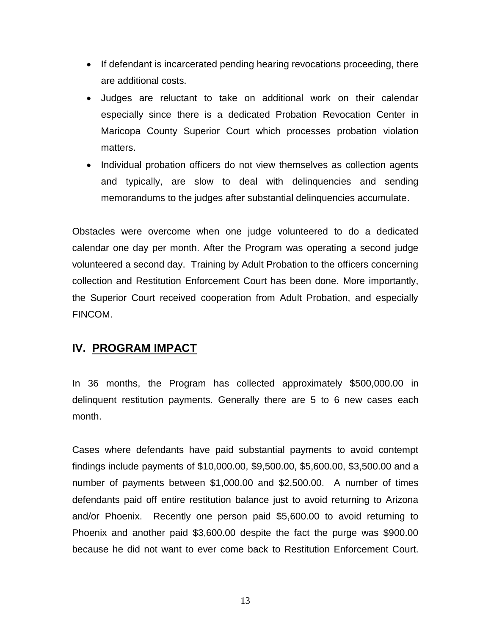- If defendant is incarcerated pending hearing revocations proceeding, there are additional costs.
- Judges are reluctant to take on additional work on their calendar especially since there is a dedicated Probation Revocation Center in Maricopa County Superior Court which processes probation violation matters.
- Individual probation officers do not view themselves as collection agents and typically, are slow to deal with delinquencies and sending memorandums to the judges after substantial delinquencies accumulate.

Obstacles were overcome when one judge volunteered to do a dedicated calendar one day per month. After the Program was operating a second judge volunteered a second day. Training by Adult Probation to the officers concerning collection and Restitution Enforcement Court has been done. More importantly, the Superior Court received cooperation from Adult Probation, and especially FINCOM.

## **IV. PROGRAM IMPACT**

In 36 months, the Program has collected approximately \$500,000.00 in delinquent restitution payments. Generally there are 5 to 6 new cases each month.

Cases where defendants have paid substantial payments to avoid contempt findings include payments of \$10,000.00, \$9,500.00, \$5,600.00, \$3,500.00 and a number of payments between \$1,000.00 and \$2,500.00. A number of times defendants paid off entire restitution balance just to avoid returning to Arizona and/or Phoenix. Recently one person paid \$5,600.00 to avoid returning to Phoenix and another paid \$3,600.00 despite the fact the purge was \$900.00 because he did not want to ever come back to Restitution Enforcement Court.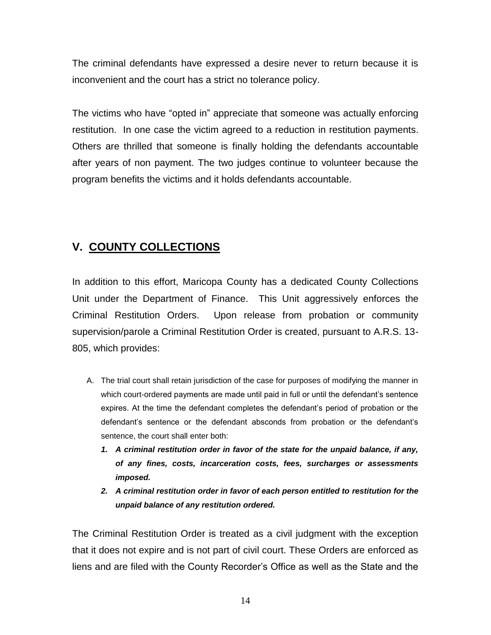The criminal defendants have expressed a desire never to return because it is inconvenient and the court has a strict no tolerance policy.

The victims who have "opted in" appreciate that someone was actually enforcing restitution. In one case the victim agreed to a reduction in restitution payments. Others are thrilled that someone is finally holding the defendants accountable after years of non payment. The two judges continue to volunteer because the program benefits the victims and it holds defendants accountable.

## **V. COUNTY COLLECTIONS**

In addition to this effort, Maricopa County has a dedicated County Collections Unit under the Department of Finance. This Unit aggressively enforces the Criminal Restitution Orders. Upon release from probation or community supervision/parole a Criminal Restitution Order is created, pursuant to A.R.S. 13- 805, which provides:

- A. The trial court shall retain jurisdiction of the case for purposes of modifying the manner in which court-ordered payments are made until paid in full or until the defendant's sentence expires. At the time the defendant completes the defendant's period of probation or the defendant's sentence or the defendant absconds from probation or the defendant's sentence, the court shall enter both:
	- *1. A criminal restitution order in favor of the state for the unpaid balance, if any, of any fines, costs, incarceration costs, fees, surcharges or assessments imposed.*
	- *2. A criminal restitution order in favor of each person entitled to restitution for the unpaid balance of any restitution ordered.*

The Criminal Restitution Order is treated as a civil judgment with the exception that it does not expire and is not part of civil court. These Orders are enforced as liens and are filed with the County Recorder's Office as well as the State and the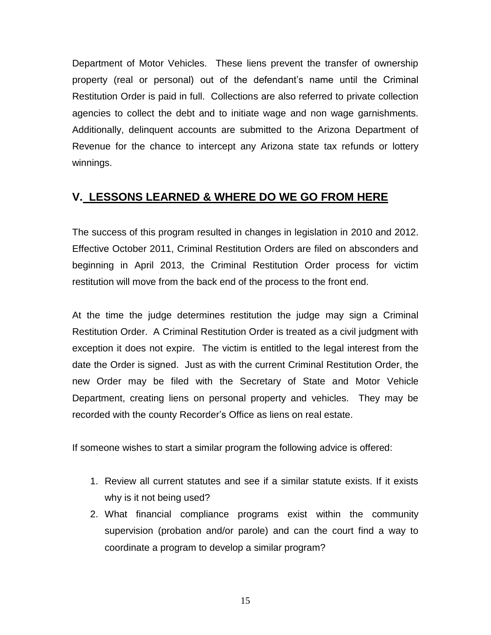Department of Motor Vehicles. These liens prevent the transfer of ownership property (real or personal) out of the defendant's name until the Criminal Restitution Order is paid in full. Collections are also referred to private collection agencies to collect the debt and to initiate wage and non wage garnishments. Additionally, delinquent accounts are submitted to the Arizona Department of Revenue for the chance to intercept any Arizona state tax refunds or lottery winnings.

## **V. LESSONS LEARNED & WHERE DO WE GO FROM HERE**

The success of this program resulted in changes in legislation in 2010 and 2012. Effective October 2011, Criminal Restitution Orders are filed on absconders and beginning in April 2013, the Criminal Restitution Order process for victim restitution will move from the back end of the process to the front end.

At the time the judge determines restitution the judge may sign a Criminal Restitution Order. A Criminal Restitution Order is treated as a civil judgment with exception it does not expire. The victim is entitled to the legal interest from the date the Order is signed. Just as with the current Criminal Restitution Order, the new Order may be filed with the Secretary of State and Motor Vehicle Department, creating liens on personal property and vehicles. They may be recorded with the county Recorder's Office as liens on real estate.

If someone wishes to start a similar program the following advice is offered:

- 1. Review all current statutes and see if a similar statute exists. If it exists why is it not being used?
- 2. What financial compliance programs exist within the community supervision (probation and/or parole) and can the court find a way to coordinate a program to develop a similar program?